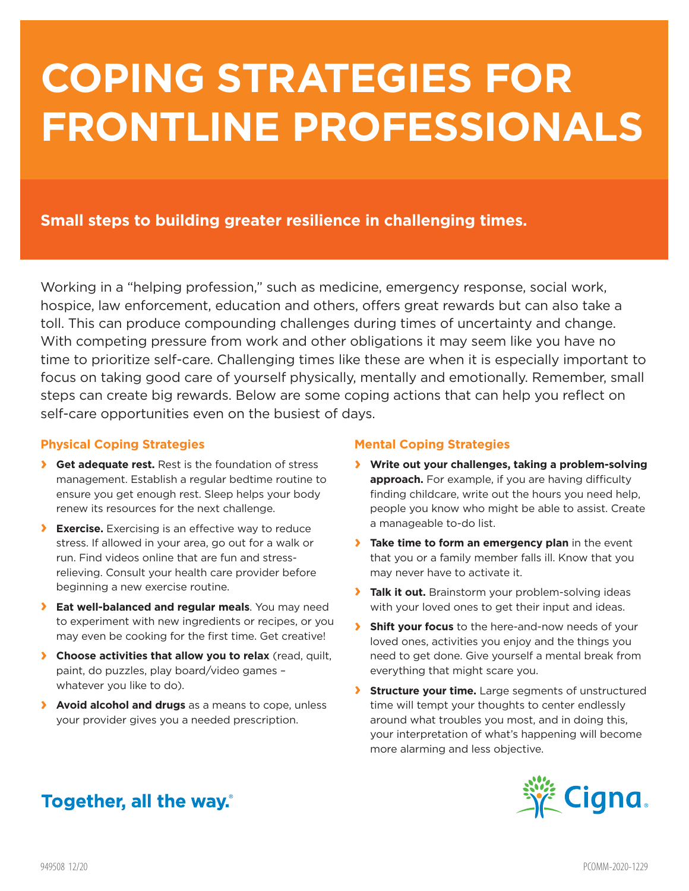# **COPING STRATEGIES FOR FRONTLINE PROFESSIONALS**

### **Small steps to building greater resilience in challenging times.**

Working in a "helping profession," such as medicine, emergency response, social work, hospice, law enforcement, education and others, offers great rewards but can also take a toll. This can produce compounding challenges during times of uncertainty and change. With competing pressure from work and other obligations it may seem like you have no time to prioritize self-care. Challenging times like these are when it is especially important to focus on taking good care of yourself physically, mentally and emotionally. Remember, small steps can create big rewards. Below are some coping actions that can help you reflect on self-care opportunities even on the busiest of days.

#### **Physical Coping Strategies**

- **› Get adequate rest.** Rest is the foundation of stress management. Establish a regular bedtime routine to ensure you get enough rest. Sleep helps your body renew its resources for the next challenge.
- **› Exercise.** Exercising is an effective way to reduce stress. If allowed in your area, go out for a walk or run. Find videos online that are fun and stressrelieving. Consult your health care provider before beginning a new exercise routine.
- **› Eat well-balanced and regular meals**. You may need to experiment with new ingredients or recipes, or you may even be cooking for the first time. Get creative!
- **› Choose activities that allow you to relax** (read, quilt, paint, do puzzles, play board/video games – whatever you like to do).
- **› Avoid alcohol and drugs** as a means to cope, unless your provider gives you a needed prescription.

#### **Mental Coping Strategies**

- **› Write out your challenges, taking a problem-solving approach.** For example, if you are having difficulty finding childcare, write out the hours you need help, people you know who might be able to assist. Create a manageable to-do list.
- **› Take time to form an emergency plan** in the event that you or a family member falls ill. Know that you may never have to activate it.
- **› Talk it out.** Brainstorm your problem-solving ideas with your loved ones to get their input and ideas.
- **› Shift your focus** to the here-and-now needs of your loved ones, activities you enjoy and the things you need to get done. Give yourself a mental break from everything that might scare you.
- **› Structure your time.** Large segments of unstructured time will tempt your thoughts to center endlessly around what troubles you most, and in doing this, your interpretation of what's happening will become more alarming and less objective.



## Together, all the way.